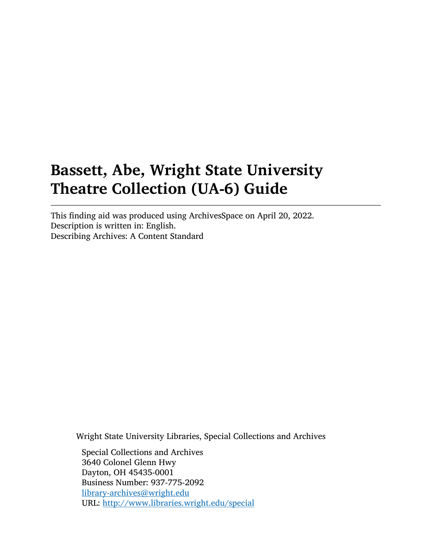# Bassett, Abe, Wright State University Theatre Collection (UA-6) Guide

This finding aid was produced using ArchivesSpace on April 20, 2022. Description is written in: English. Describing Archives: A Content Standard

Wright State University Libraries, Special Collections and Archives

Special Collections and Archives 3640 Colonel Glenn Hwy Dayton, OH 45435-0001 Business Number: 937-775-2092 [library-archives@wright.edu](mailto:library-archives@wright.edu) URL: <http://www.libraries.wright.edu/special>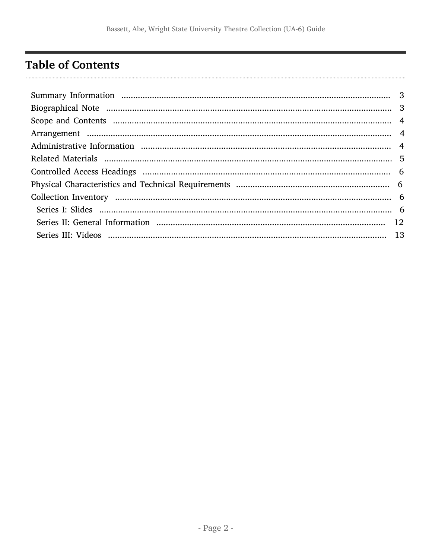## <span id="page-1-0"></span>**Table of Contents**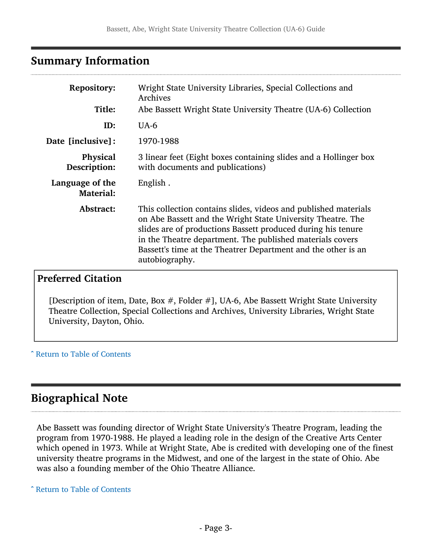### <span id="page-2-0"></span>Summary Information

| <b>Repository:</b>                  | Wright State University Libraries, Special Collections and<br>Archives                                                                                                                                                                                                                                                                         |
|-------------------------------------|------------------------------------------------------------------------------------------------------------------------------------------------------------------------------------------------------------------------------------------------------------------------------------------------------------------------------------------------|
| Title:                              | Abe Bassett Wright State University Theatre (UA-6) Collection                                                                                                                                                                                                                                                                                  |
| ID:                                 | $UA-6$                                                                                                                                                                                                                                                                                                                                         |
| Date [inclusive]:                   | 1970-1988                                                                                                                                                                                                                                                                                                                                      |
| <b>Physical</b><br>Description:     | 3 linear feet (Eight boxes containing slides and a Hollinger box<br>with documents and publications)                                                                                                                                                                                                                                           |
| Language of the<br><b>Material:</b> | English.                                                                                                                                                                                                                                                                                                                                       |
| Abstract:                           | This collection contains slides, videos and published materials<br>on Abe Bassett and the Wright State University Theatre. The<br>slides are of productions Bassett produced during his tenure<br>in the Theatre department. The published materials covers<br>Bassett's time at the Theatrer Department and the other is an<br>autobiography. |

### Preferred Citation

[Description of item, Date, Box #, Folder #], UA-6, Abe Bassett Wright State University Theatre Collection, Special Collections and Archives, University Libraries, Wright State University, Dayton, Ohio.

^ [Return to Table of Contents](#page-1-0)

### <span id="page-2-1"></span>Biographical Note

Abe Bassett was founding director of Wright State University's Theatre Program, leading the program from 1970-1988. He played a leading role in the design of the Creative Arts Center which opened in 1973. While at Wright State, Abe is credited with developing one of the finest university theatre programs in the Midwest, and one of the largest in the state of Ohio. Abe was also a founding member of the Ohio Theatre Alliance.

^ [Return to Table of Contents](#page-1-0)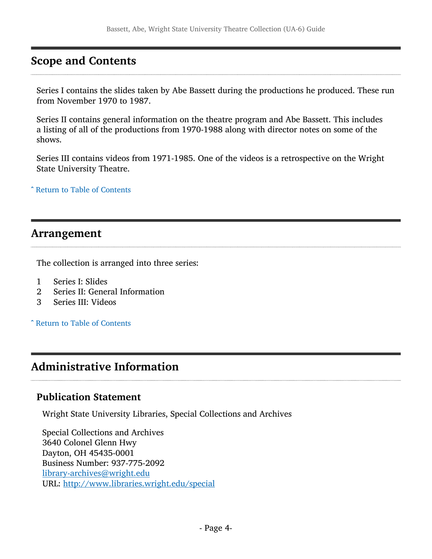### <span id="page-3-0"></span>Scope and Contents

Series I contains the slides taken by Abe Bassett during the productions he produced. These run from November 1970 to 1987.

Series II contains general information on the theatre program and Abe Bassett. This includes a listing of all of the productions from 1970-1988 along with director notes on some of the shows.

Series III contains videos from 1971-1985. One of the videos is a retrospective on the Wright State University Theatre.

^ [Return to Table of Contents](#page-1-0)

### <span id="page-3-1"></span>Arrangement

The collection is arranged into three series:

- 1 Series I: Slides<br>2 Series II: Gener
- 2 Series II: General Information<br>3 Series III: Videos
- 3 Series III: Videos

^ [Return to Table of Contents](#page-1-0)

### <span id="page-3-2"></span>Administrative Information

### Publication Statement

Wright State University Libraries, Special Collections and Archives

Special Collections and Archives 3640 Colonel Glenn Hwy Dayton, OH 45435-0001 Business Number: 937-775-2092 [library-archives@wright.edu](mailto:library-archives@wright.edu) URL: <http://www.libraries.wright.edu/special>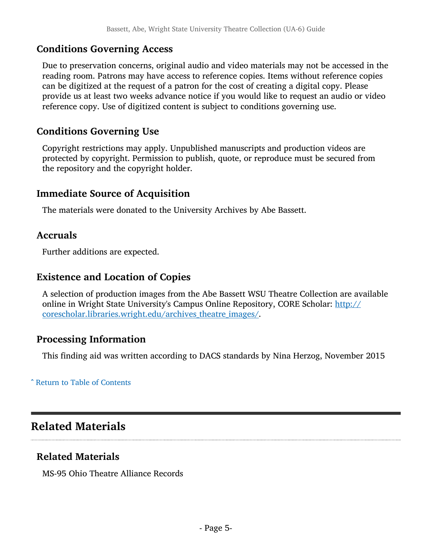### Conditions Governing Access

Due to preservation concerns, original audio and video materials may not be accessed in the reading room. Patrons may have access to reference copies. Items without reference copies can be digitized at the request of a patron for the cost of creating a digital copy. Please provide us at least two weeks advance notice if you would like to request an audio or video reference copy. Use of digitized content is subject to conditions governing use.

### Conditions Governing Use

Copyright restrictions may apply. Unpublished manuscripts and production videos are protected by copyright. Permission to publish, quote, or reproduce must be secured from the repository and the copyright holder.

### Immediate Source of Acquisition

The materials were donated to the University Archives by Abe Bassett.

### Accruals

Further additions are expected.

### Existence and Location of Copies

A selection of production images from the Abe Bassett WSU Theatre Collection are available online in Wright State University's Campus Online Repository, CORE Scholar: [http://](http://corescholar.libraries.wright.edu/archives_theatre_images/) corescholar.libraries.wright.edu/archives theatre images/.

### Processing Information

This finding aid was written according to DACS standards by Nina Herzog, November 2015

^ [Return to Table of Contents](#page-1-0)

### <span id="page-4-0"></span>Related Materials

### Related Materials

MS-95 Ohio Theatre Alliance Records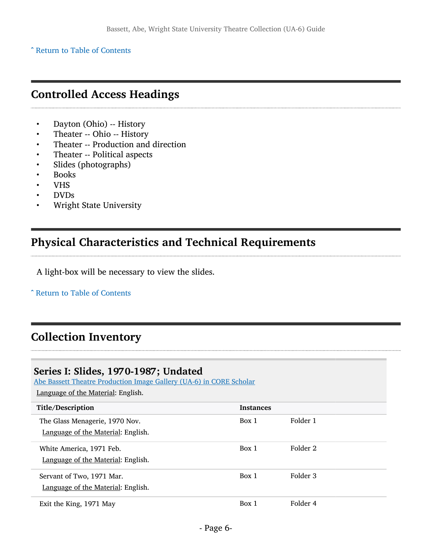^ [Return to Table of Contents](#page-1-0)

### <span id="page-5-0"></span>Controlled Access Headings

- Dayton (Ohio) -- History
- Theater -- Ohio -- History
- Theater -- Production and direction
- Theater -- Political aspects
- Slides (photographs)
- Books
- VHS
- DVDs
- Wright State University

### <span id="page-5-1"></span>Physical Characteristics and Technical Requirements

A light-box will be necessary to view the slides.

^ [Return to Table of Contents](#page-1-0)

## <span id="page-5-2"></span>Collection Inventory

### <span id="page-5-3"></span>Series I: Slides, 1970-1987; Undated

[Abe Bassett Theatre Production Image Gallery \(UA-6\) in CORE Scholar](https://corescholar.libraries.wright.edu/archives_theatre_images/)

| Title/Description                  | <b>Instances</b> |          |
|------------------------------------|------------------|----------|
| The Glass Menagerie, 1970 Nov.     | Box 1            | Folder 1 |
| Language of the Material: English. |                  |          |
| White America, 1971 Feb.           | Box 1            | Folder 2 |
| Language of the Material: English. |                  |          |
| Servant of Two, 1971 Mar.          | Box 1            | Folder 3 |
| Language of the Material: English. |                  |          |
| Exit the King, 1971 May            | Box 1            | Folder 4 |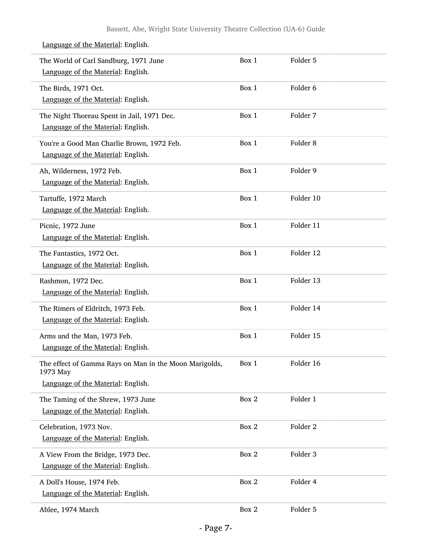| The World of Carl Sandburg, 1971 June<br>Language of the Material: English.                              | Box 1 | Folder 5  |
|----------------------------------------------------------------------------------------------------------|-------|-----------|
| The Birds, 1971 Oct.<br>Language of the Material: English.                                               | Box 1 | Folder 6  |
| The Night Thoreau Spent in Jail, 1971 Dec.<br>Language of the Material: English.                         | Box 1 | Folder 7  |
| You're a Good Man Charlie Brown, 1972 Feb.<br>Language of the Material: English.                         | Box 1 | Folder 8  |
| Ah, Wilderness, 1972 Feb.<br>Language of the Material: English.                                          | Box 1 | Folder 9  |
| Tartuffe, 1972 March<br>Language of the Material: English.                                               | Box 1 | Folder 10 |
| Picnic, 1972 June<br>Language of the Material: English.                                                  | Box 1 | Folder 11 |
| The Fantastics, 1972 Oct.<br>Language of the Material: English.                                          | Box 1 | Folder 12 |
| Rashmon, 1972 Dec.<br>Language of the Material: English.                                                 | Box 1 | Folder 13 |
| The Rimers of Eldritch, 1973 Feb.<br>Language of the Material: English.                                  | Box 1 | Folder 14 |
| Arms and the Man, 1973 Feb.<br>Language of the Material: English.                                        | Box 1 | Folder 15 |
| The effect of Gamma Rays on Man in the Moon Marigolds,<br>1973 May<br>Language of the Material: English. | Box 1 | Folder 16 |
| The Taming of the Shrew, 1973 June<br>Language of the Material: English.                                 | Box 2 | Folder 1  |
| Celebration, 1973 Nov.<br>Language of the Material: English.                                             | Box 2 | Folder 2  |
| A View From the Bridge, 1973 Dec.<br>Language of the Material: English.                                  | Box 2 | Folder 3  |
| A Doll's House, 1974 Feb.<br>Language of the Material: English.                                          | Box 2 | Folder 4  |
| Ablee, 1974 March                                                                                        | Box 2 | Folder 5  |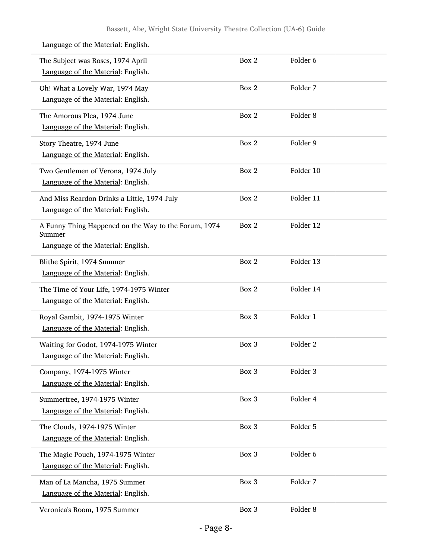| The Subject was Roses, 1974 April<br>Language of the Material: English.                              | Box 2 | Folder <sub>6</sub> |
|------------------------------------------------------------------------------------------------------|-------|---------------------|
| Oh! What a Lovely War, 1974 May<br>Language of the Material: English.                                | Box 2 | Folder 7            |
| The Amorous Plea, 1974 June<br>Language of the Material: English.                                    | Box 2 | Folder <sub>8</sub> |
| Story Theatre, 1974 June<br>Language of the Material: English.                                       | Box 2 | Folder 9            |
| Two Gentlemen of Verona, 1974 July<br>Language of the Material: English.                             | Box 2 | Folder 10           |
| And Miss Reardon Drinks a Little, 1974 July<br>Language of the Material: English.                    | Box 2 | Folder 11           |
| A Funny Thing Happened on the Way to the Forum, 1974<br>Summer<br>Language of the Material: English. | Box 2 | Folder 12           |
| Blithe Spirit, 1974 Summer<br>Language of the Material: English.                                     | Box 2 | Folder 13           |
| The Time of Your Life, 1974-1975 Winter<br>Language of the Material: English.                        | Box 2 | Folder 14           |
| Royal Gambit, 1974-1975 Winter<br>Language of the Material: English.                                 | Box 3 | Folder 1            |
| Waiting for Godot, 1974-1975 Winter<br>Language of the Material: English.                            | Box 3 | Folder <sub>2</sub> |
| Company, 1974-1975 Winter<br>Language of the Material: English.                                      | Box 3 | Folder 3            |
| Summertree, 1974-1975 Winter<br>Language of the Material: English.                                   | Box 3 | Folder 4            |
| The Clouds, 1974-1975 Winter<br>Language of the Material: English.                                   | Box 3 | Folder 5            |
| The Magic Pouch, 1974-1975 Winter<br>Language of the Material: English.                              | Box 3 | Folder 6            |
| Man of La Mancha, 1975 Summer<br>Language of the Material: English.                                  | Box 3 | Folder 7            |
| Veronica's Room, 1975 Summer                                                                         | Box 3 | Folder 8            |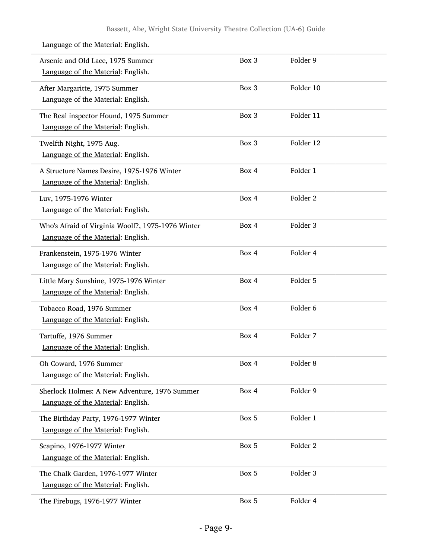| Arsenic and Old Lace, 1975 Summer<br>Language of the Material: English.                 | Box 3 | Folder 9            |
|-----------------------------------------------------------------------------------------|-------|---------------------|
| After Margaritte, 1975 Summer<br>Language of the Material: English.                     | Box 3 | Folder 10           |
| The Real inspector Hound, 1975 Summer<br>Language of the Material: English.             | Box 3 | Folder 11           |
| Twelfth Night, 1975 Aug.<br>Language of the Material: English.                          | Box 3 | Folder 12           |
| A Structure Names Desire, 1975-1976 Winter<br>Language of the Material: English.        | Box 4 | Folder 1            |
| Luv, 1975-1976 Winter<br>Language of the Material: English.                             | Box 4 | Folder <sub>2</sub> |
| Who's Afraid of Virginia Woolf?, 1975-1976 Winter<br>Language of the Material: English. | Box 4 | Folder 3            |
| Frankenstein, 1975-1976 Winter<br>Language of the Material: English.                    | Box 4 | Folder 4            |
| Little Mary Sunshine, 1975-1976 Winter<br>Language of the Material: English.            | Box 4 | Folder 5            |
| Tobacco Road, 1976 Summer<br>Language of the Material: English.                         | Box 4 | Folder 6            |
| Tartuffe, 1976 Summer<br>Language of the Material: English.                             | Box 4 | Folder 7            |
| Oh Coward, 1976 Summer<br>Language of the Material: English.                            | Box 4 | Folder <sub>8</sub> |
| Sherlock Holmes: A New Adventure, 1976 Summer<br>Language of the Material: English.     | Box 4 | Folder 9            |
| The Birthday Party, 1976-1977 Winter<br>Language of the Material: English.              | Box 5 | Folder 1            |
| Scapino, 1976-1977 Winter<br>Language of the Material: English.                         | Box 5 | Folder <sub>2</sub> |
| The Chalk Garden, 1976-1977 Winter<br>Language of the Material: English.                | Box 5 | Folder 3            |
| The Firebugs, 1976-1977 Winter                                                          | Box 5 | Folder 4            |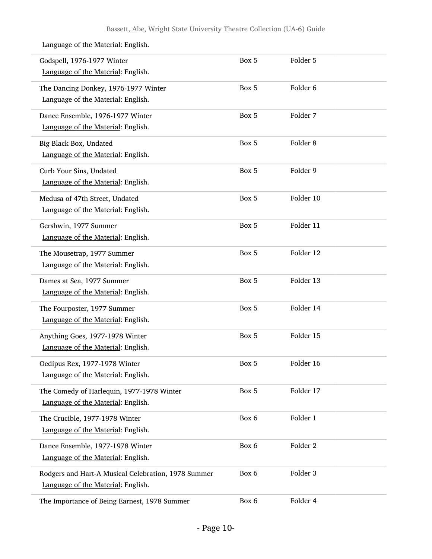| Godspell, 1976-1977 Winter<br>Language of the Material: English.                          | Box 5 | Folder 5            |  |
|-------------------------------------------------------------------------------------------|-------|---------------------|--|
| The Dancing Donkey, 1976-1977 Winter<br>Language of the Material: English.                | Box 5 | Folder 6            |  |
| Dance Ensemble, 1976-1977 Winter<br>Language of the Material: English.                    | Box 5 | Folder 7            |  |
| Big Black Box, Undated<br>Language of the Material: English.                              | Box 5 | Folder <sub>8</sub> |  |
| Curb Your Sins, Undated<br>Language of the Material: English.                             | Box 5 | Folder 9            |  |
| Medusa of 47th Street, Undated<br>Language of the Material: English.                      | Box 5 | Folder 10           |  |
| Gershwin, 1977 Summer<br>Language of the Material: English.                               | Box 5 | Folder 11           |  |
| The Mousetrap, 1977 Summer<br>Language of the Material: English.                          | Box 5 | Folder 12           |  |
| Dames at Sea, 1977 Summer<br>Language of the Material: English.                           | Box 5 | Folder 13           |  |
| The Fourposter, 1977 Summer<br>Language of the Material: English.                         | Box 5 | Folder 14           |  |
| Anything Goes, 1977-1978 Winter<br>Language of the Material: English.                     | Box 5 | Folder 15           |  |
| Oedipus Rex, 1977-1978 Winter<br>Language of the Material: English.                       | Box 5 | Folder 16           |  |
| The Comedy of Harlequin, 1977-1978 Winter<br>Language of the Material: English.           | Box 5 | Folder 17           |  |
| The Crucible, 1977-1978 Winter<br>Language of the Material: English.                      | Box 6 | Folder 1            |  |
| Dance Ensemble, 1977-1978 Winter<br>Language of the Material: English.                    | Box 6 | Folder <sub>2</sub> |  |
| Rodgers and Hart-A Musical Celebration, 1978 Summer<br>Language of the Material: English. | Box 6 | Folder 3            |  |
| The Importance of Being Earnest, 1978 Summer                                              | Box 6 | Folder 4            |  |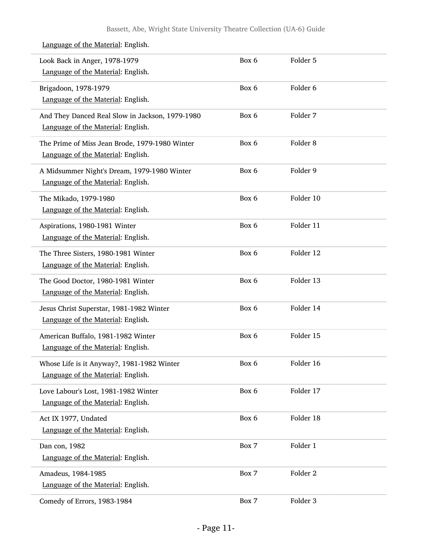| Look Back in Anger, 1978-1979<br>Language of the Material: English.                   | Box 6 | Folder 5            |  |
|---------------------------------------------------------------------------------------|-------|---------------------|--|
| Brigadoon, 1978-1979<br>Language of the Material: English.                            | Box 6 | Folder <sub>6</sub> |  |
| And They Danced Real Slow in Jackson, 1979-1980<br>Language of the Material: English. | Box 6 | Folder 7            |  |
| The Prime of Miss Jean Brode, 1979-1980 Winter<br>Language of the Material: English.  | Box 6 | Folder <sub>8</sub> |  |
| A Midsummer Night's Dream, 1979-1980 Winter<br>Language of the Material: English.     | Box 6 | Folder 9            |  |
| The Mikado, 1979-1980<br>Language of the Material: English.                           | Box 6 | Folder 10           |  |
| Aspirations, 1980-1981 Winter<br>Language of the Material: English.                   | Box 6 | Folder 11           |  |
| The Three Sisters, 1980-1981 Winter<br>Language of the Material: English.             | Box 6 | Folder 12           |  |
| The Good Doctor, 1980-1981 Winter<br>Language of the Material: English.               | Box 6 | Folder 13           |  |
| Jesus Christ Superstar, 1981-1982 Winter<br>Language of the Material: English.        | Box 6 | Folder 14           |  |
| American Buffalo, 1981-1982 Winter<br>Language of the Material: English.              | Box 6 | Folder 15           |  |
| Whose Life is it Anyway?, 1981-1982 Winter<br>Language of the Material: English.      | Box 6 | Folder 16           |  |
| Love Labour's Lost, 1981-1982 Winter<br>Language of the Material: English.            | Box 6 | Folder 17           |  |
| Act IX 1977, Undated<br>Language of the Material: English.                            | Box 6 | Folder 18           |  |
| Dan con, 1982<br>Language of the Material: English.                                   | Box 7 | Folder 1            |  |
| Amadeus, 1984-1985<br>Language of the Material: English.                              | Box 7 | Folder <sub>2</sub> |  |
| Comedy of Errors, 1983-1984                                                           | Box 7 | Folder 3            |  |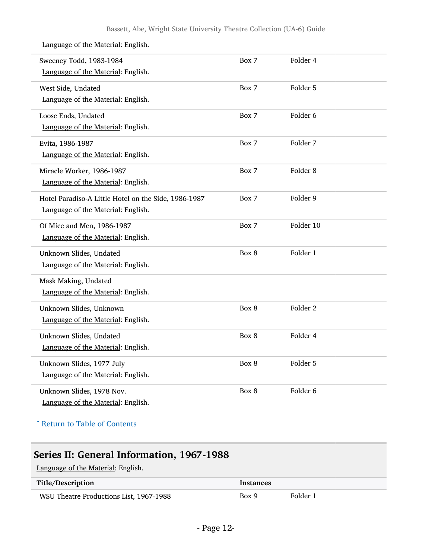| Sweeney Todd, 1983-1984                              | Box 7 | Folder 4            |  |
|------------------------------------------------------|-------|---------------------|--|
| Language of the Material: English.                   |       |                     |  |
| West Side, Undated                                   | Box 7 | Folder 5            |  |
| Language of the Material: English.                   |       |                     |  |
| Loose Ends, Undated                                  | Box 7 | Folder 6            |  |
| Language of the Material: English.                   |       |                     |  |
| Evita, 1986-1987                                     | Box 7 | Folder 7            |  |
| Language of the Material: English.                   |       |                     |  |
| Miracle Worker, 1986-1987                            | Box 7 | Folder <sub>8</sub> |  |
| Language of the Material: English.                   |       |                     |  |
| Hotel Paradiso-A Little Hotel on the Side, 1986-1987 | Box 7 | Folder 9            |  |
| Language of the Material: English.                   |       |                     |  |
| Of Mice and Men, 1986-1987                           | Box 7 | Folder 10           |  |
| Language of the Material: English.                   |       |                     |  |
| Unknown Slides, Undated                              | Box 8 | Folder 1            |  |
| Language of the Material: English.                   |       |                     |  |
| Mask Making, Undated                                 |       |                     |  |
| Language of the Material: English.                   |       |                     |  |
| Unknown Slides, Unknown                              | Box 8 | Folder <sub>2</sub> |  |
| Language of the Material: English.                   |       |                     |  |
| Unknown Slides, Undated                              | Box 8 | Folder 4            |  |
| Language of the Material: English.                   |       |                     |  |
| Unknown Slides, 1977 July                            | Box 8 | Folder 5            |  |
| Language of the Material: English.                   |       |                     |  |
| Unknown Slides, 1978 Nov.                            | Box 8 | Folder <sub>6</sub> |  |
| Language of the Material: English.                   |       |                     |  |
|                                                      |       |                     |  |

^ [Return to Table of Contents](#page-1-0)

### <span id="page-11-0"></span>Series II: General Information, 1967-1988

| Title/Description                       | <b>Instances</b> |          |
|-----------------------------------------|------------------|----------|
| WSU Theatre Productions List, 1967-1988 | Box 9            | Folder 1 |